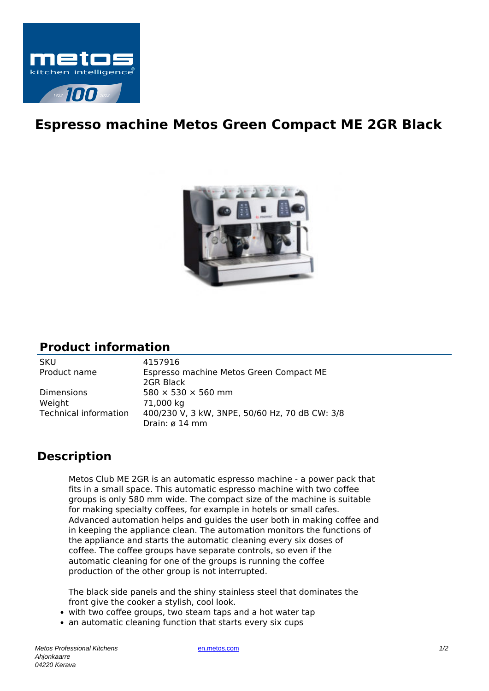

## **Espresso machine Metos Green Compact ME 2GR Black**



## **Product information**

SKU 4157916 Weight 71,000 kg

Product name Espresso machine Metos Green Compact ME 2GR Black Dimensions  $580 \times 530 \times 560$  mm Technical information 400/230 V, 3 kW, 3NPE, 50/60 Hz, 70 dB CW: 3/8 Drain: ø 14 mm

## **Description**

Metos Club ME 2GR is an automatic espresso machine - a power pack that fits in a small space. This automatic espresso machine with two coffee groups is only 580 mm wide. The compact size of the machine is suitable for making specialty coffees, for example in hotels or small cafes. Advanced automation helps and guides the user both in making coffee and in keeping the appliance clean. The automation monitors the functions of the appliance and starts the automatic cleaning every six doses of coffee. The coffee groups have separate controls, so even if the automatic cleaning for one of the groups is running the coffee production of the other group is not interrupted.

The black side panels and the shiny stainless steel that dominates the front give the cooker a stylish, cool look.

- with two coffee groups, two steam taps and a hot water tap
- an automatic cleaning function that starts every six cups